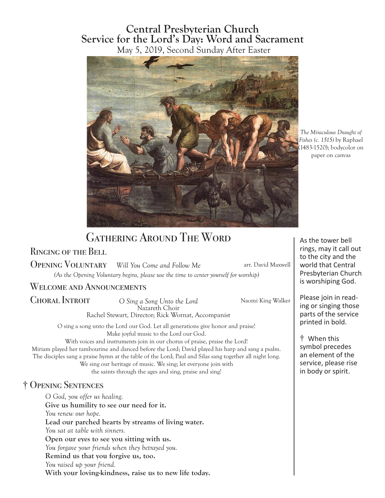## **Central Presbyterian Church Service for the Lord's Day: Word and Sacrament** May 5, 2019, Second Sunday After Easter



*The Miraculous Draught of Fishes (c. 1515)* by Raphael (1483-1520); bodycolor on paper on canvas

# Gathering Around The Word

## † Ringing of the Bell

**FRING VOLUNTARY** *Will You Come and Follow Me* arr. David Maxwell

*(As the Opening Voluntary begins, please use the time to center yourself for worship)*

### WELCOME AND ANNOUNCEMENTS

† Choral Introit *O Sing a Song Unto the Lord*

Nazareth Choir

Naomi King Walker

O sing a song unto the Lord our God. Let all generations give honor and praise! Rachel Stewart, Director; Rick Wornat, Accompanist

Make joyful music to the Lord our God.

With voices and instruments join in our chorus of praise, praise the Lord! Miriam played her tambourine and danced before the Lord; David played his harp and sang a psalm. The disciples sang a praise hymn at the table of the Lord; Paul and Silas sang together all night long. We sing our heritage of music. We sing; let everyone join with

the saints through the ages and sing, praise and sing!

## † Opening Sentences

*O God, you offer us healing.*  **Give us humility to see our need for it.**  *You renew our hope.*  **Lead our parched hearts by streams of living water.** *You sat at table with sinners.* **Open our eyes to see you sitting with us.** *You forgave your friends when they betrayed you.* **Remind us that you forgive us, too.** *You raised up your friend.* **With your loving-kindness, raise us to new life today.** 

As the tower bell rings, may it call out to the city and the world that Central Presbyterian Church is worshiping God.

Please join in reading or singing those parts of the service printed in bold.

† When this symbol precedes an element of the service, please rise in body or spirit.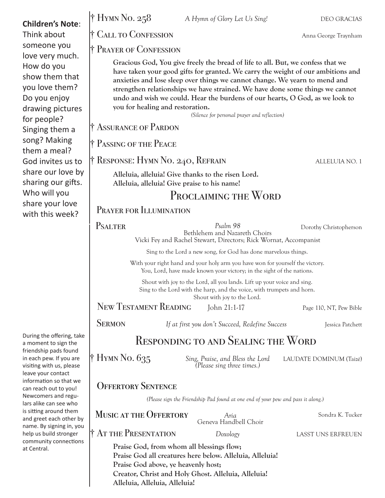#### **Children's Note**:

Think about someone you love very much. How do you show them that you love them? Do you enjoy drawing pictures for people? Singing them a song? Making them a meal? God invites us to share our love by sharing our gifts. Who will you share your love with this week?

During the offering, take a moment to sign the friendship pads found in each pew. If you are visiting with us, please leave your contact information so that we can reach out to you! Newcomers and regulars alike can see who is sitting around them and greet each other by name. By signing in, you help us build stronger community connections at Central.

## † Hymn No. 258 *A Hymn of Glory Let Us Sing!* DEO GRACIAS

† Call to Confession

Anna George Traynham

† Prayer of Confession

**Gracious God, You give freely the bread of life to all. But, we confess that we have taken your good gifts for granted. We carry the weight of our ambitions and anxieties and lose sleep over things we cannot change. We yearn to mend and strengthen relationships we have strained. We have done some things we cannot undo and wish we could. Hear the burdens of our hearts, O God, as we look to you for healing and restoration.**

*(Silence for personal prayer and reflection)*

† Assurance of Pardon

† Passing of the Peace

† Response: Hymn No. 240, Refrain

ALLELUIA NO. 1

**Alleluia, alleluia! Give thanks to the risen Lord. Alleluia, alleluia! Give praise to his name!**

## PROCLAIMING THE WORD

#### Prayer for Illumination

| PSALTER                                                                                                                                                                          |                       | Psalm 98<br>Bethlehem and Nazareth Choirs<br>Vicki Fey and Rachel Stewart, Directors; Rick Wornat, Accompanist | Dorothy Christopherson  |  |
|----------------------------------------------------------------------------------------------------------------------------------------------------------------------------------|-----------------------|----------------------------------------------------------------------------------------------------------------|-------------------------|--|
| Sing to the Lord a new song, for God has done marvelous things.                                                                                                                  |                       |                                                                                                                |                         |  |
| With your right hand and your holy arm you have won for yourself the victory.<br>You, Lord, have made known your victory; in the sight of the nations.                           |                       |                                                                                                                |                         |  |
| Shout with joy to the Lord, all you lands. Lift up your voice and sing.<br>Sing to the Lord with the harp, and the voice, with trumpets and horn.<br>Shout with joy to the Lord. |                       |                                                                                                                |                         |  |
|                                                                                                                                                                                  | NEW TESTAMENT READING | John 21:1-17                                                                                                   | Page 110, NT, Pew Bible |  |
| <b>SERMON</b>                                                                                                                                                                    |                       | If at first you don't Succeed, Redefine Success                                                                | <b>Jessica Patchett</b> |  |
| RESPONDING TO AND SEALING THE WORD                                                                                                                                               |                       |                                                                                                                |                         |  |
|                                                                                                                                                                                  |                       |                                                                                                                |                         |  |

† Hymn No. 635 *Sing, Praise, and Bless the Lord* LAUDATE DOMINUM (Taizé) *(Please sing three times.)*

#### **OFFERTORY SENTENCE**

*(Please sign the Friendship Pad found at one end of your pew and pass it along.)*

†Music at the Offertory *Aria*

Geneva Handbell Choir

Sondra K. Tucker

† At the Presentation *Doxology* LASST UNS ERFREUEN

**Praise God, from whom all blessings flow; Praise God all creatures here below. Alleluia, Alleluia! Praise God above, ye heavenly host; Creator, Christ and Holy Ghost. Alleluia, Alleluia! Alleluia, Alleluia, Alleluia!**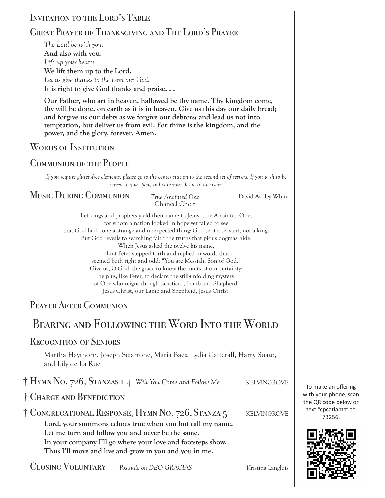## † Invitation to the Lord's Table

## † Great Prayer of Thanksgiving and The Lord's Prayer

*The Lord be with you.* **And also with you.** *Lift up your hearts.* **We lift them up to the Lord.** *Let us give thanks to the Lord our God.* **It is right to give God thanks and praise. . .** 

**Our Father, who art in heaven, hallowed be thy name. Thy kingdom come, thy will be done, on earth as it is in heaven. Give us this day our daily bread; and forgive us our debts as we forgive our debtors; and lead us not into temptation, but deliver us from evil. For thine is the kingdom, and the power, and the glory, forever. Amen.**

## WORDS OF INSTITUTION

## COMMUNION OF THE PEOPLE

*If you require gluten-free elements, please go to the center station to the second set of servers. If you wish to be served in your pew, indicate your desire to an usher.*

## **Music During Communion**

*True Anointed One* Chancel Choir David Ashley White Let kings and prophets yield their name to Jesus, true Anointed One, for whom a nation looked in hope yet failed to see that God had done a strange and unexpected thing: God sent a servant, not a king. But God reveals to searching faith the truths that pious dogmas hide: When Jesus asked the twelve his name, blunt Peter stepped forth and replied in words that seemed both right and odd: "You are Messiah, Son of God." Give us, O God, the grace to know the limits of our certainty: help us, like Peter, to declare the still-unfolding mystery

of One who reigns though sacrificed, Lamb and Shepherd, Jesus Christ, our Lamb and Shepherd, Jesus Christ.

## PRAYER AFTER COMMUNION

# BEARING AND FOLLOWING THE WORD INTO THE WORLD

## † Recognition of Seniors

Martha Haythorn, Joseph Sciarrone, Maria Baez, Lydia Catterall, Harry Suazo, and Lily de La Rue

† Hymn No. 726, Stanzas 1-4 *Will You Come and Follow Me* KELVINGROVE

## † Charge and Benediction

† Congregational Response, Hymn No. 726, Stanza 5

KELVINGROVE

**Lord, your summons echoes true when you but call my name. Let me turn and follow you and never be the same. In your company I'll go where your love and footsteps show. Thus I'll move and live and grow in you and you in me.**

**CLOSING VOLUNTARY** *Postlude on DEO GRACIAS* Kristina Langlois

To make an offering with your phone, scan the QR code below or text "cpcatlanta" to 73256.